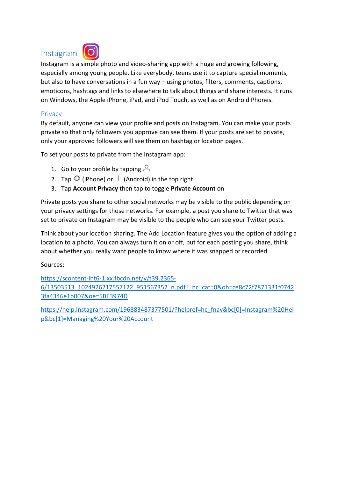# Instagram



Instagram is a simple photo and video‐sharing app with a huge and growing following, especially among young people. Like everybody, teens use it to capture special moments, but also to have conversations in a fun way – using photos, filters, comments, captions, emoticons, hashtags and links to elsewhere to talk about things and share interests. It runs on Windows, the Apple iPhone, iPad, and iPod Touch, as well as on Android Phones.

## **Privacy**

By default, anyone can view your profile and posts on Instagram. You can make your posts private so that only followers you approve can see them. If your posts are set to private, only your approved followers will see them on hashtag or location pages.

To set your posts to private from the Instagram app:

- 1. Go to your profile by tapping  $\beta$
- 2. Tap  $\overline{O}$  (iPhone) or  $\overline{O}$  (Android) in the top right
- 3. Tap **Account Privacy** then tap to toggle **Private Account** on

Private posts you share to other social networks may be visible to the public depending on your privacy settings for those networks. For example, a post you share to Twitter that was set to private on Instagram may be visible to the people who can see your Twitter posts.

Think about your location sharing. The Add Location feature gives you the option of adding a location to a photo. You can always turn it on or off, but for each posting you share, think about whether you really want people to know where it was snapped or recorded.

Sources:

https://scontent‐lht6‐1.xx.fbcdn.net/v/t39.2365‐ 6/13503513\_1024926217557122\_951567352\_n.pdf?\_nc\_cat=0&oh=ce8c72f7871331f0742 3fa4346e1b007&oe=5BE3974D

https://help.instagram.com/196883487377501/?helpref=hc\_fnav&bc[0]=Instagram%20Hel p&bc[1]=Managing%20Your%20Account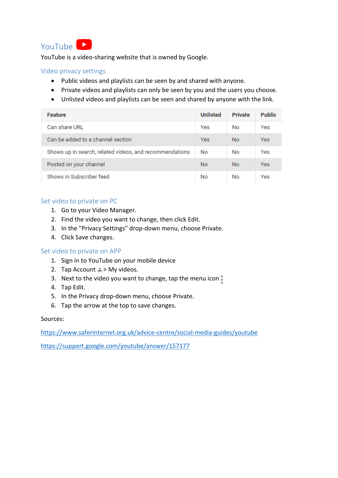

YouTube is a video‐sharing website that is owned by Google.

## Video privacy settings

- Public videos and playlists can be seen by and shared with anyone.
- Private videos and playlists can only be seen by you and the users you choose.
- Unlisted videos and playlists can be seen and shared by anyone with the link.

| <b>Feature</b>                                          | <b>Unlisted</b> | <b>Private</b> | <b>Public</b> |
|---------------------------------------------------------|-----------------|----------------|---------------|
| Can share URL                                           | Yes             | No             | Yes           |
| Can be added to a channel section                       | Yes             | <b>No</b>      | Yes           |
| Shows up in search, related videos, and recommendations | No              | <b>No</b>      | Yes           |
| Posted on your channel                                  | <b>No</b>       | <b>No</b>      | Yes           |
| Shows in Subscriber feed                                | No              | No             | Yes           |

## Set video to private on PC

- 1. Go to your Video Manager.
- 2. Find the video you want to change, then click Edit.
- 3. In the "Privacy Settings" drop‐down menu, choose Private.
- 4. Click Save changes.

#### Set video to private on APP

- 1. Sign in to YouTube on your mobile device
- 2. Tap Account  $\triangle$  > My videos.
- 3. Next to the video you want to change, tap the menu icon
- 4. Tap Edit.
- 5. In the Privacy drop‐down menu, choose Private.
- 6. Tap the arrow at the top to save changes.

#### Sources:

https://www.saferinternet.org.uk/advice‐centre/social‐media‐guides/youtube

https://support.google.com/youtube/answer/157177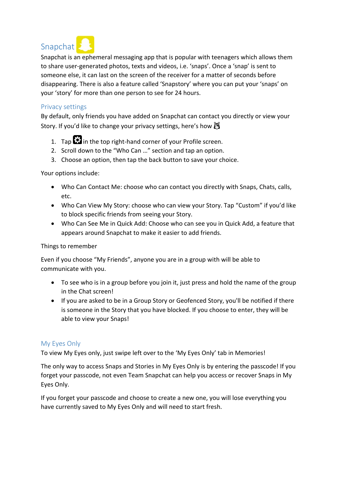

Snapchat is an ephemeral messaging app that is popular with teenagers which allows them to share user‐generated photos, texts and videos, i.e. 'snaps'. Once a 'snap' is sent to someone else, it can last on the screen of the receiver for a matter of seconds before disappearing. There is also a feature called 'Snapstory' where you can put your 'snaps' on your 'story' for more than one person to see for 24 hours.

## Privacy settings

By default, only friends you have added on Snapchat can contact you directly or view your Story. If you'd like to change your privacy settings, here's how  $\mathbb{S}$ 

- 1. Tap  $\ddot{\mathbf{c}}$  in the top right-hand corner of your Profile screen.
- 2. Scroll down to the "Who Can …" section and tap an option.
- 3. Choose an option, then tap the back button to save your choice.

Your options include:

- Who Can Contact Me: choose who can contact you directly with Snaps, Chats, calls, etc.
- Who Can View My Story: choose who can view your Story. Tap "Custom" if you'd like to block specific friends from seeing your Story.
- Who Can See Me in Quick Add: Choose who can see you in Quick Add, a feature that appears around Snapchat to make it easier to add friends.

#### Things to remember

Even if you choose "My Friends", anyone you are in a group with will be able to communicate with you.

- To see who is in a group before you join it, just press and hold the name of the group in the Chat screen!
- If you are asked to be in a Group Story or Geofenced Story, you'll be notified if there is someone in the Story that you have blocked. If you choose to enter, they will be able to view your Snaps!

## My Eyes Only

To view My Eyes only, just swipe left over to the 'My Eyes Only' tab in Memories!

The only way to access Snaps and Stories in My Eyes Only is by entering the passcode! If you forget your passcode, not even Team Snapchat can help you access or recover Snaps in My Eyes Only.

If you forget your passcode and choose to create a new one, you will lose everything you have currently saved to My Eyes Only and will need to start fresh.